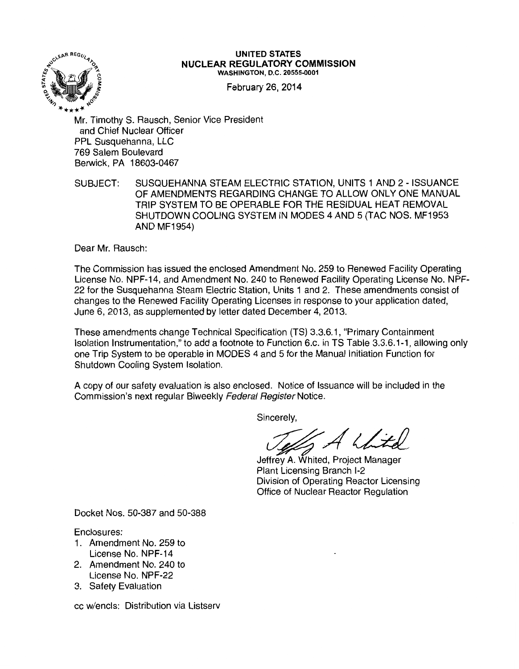

#### **UNITED STATES NUCLEAR REGULATORY COMMISSION**  WASHINGTON, D.C. 20555-0001

February 26, 2014

Mr. Timothy S. Rausch, Senior Vice President and Chief Nuclear Officer PPL Susquehanna, LLC 769 Salem Boulevard Berwick, PA 18603-0467

SUBJECT: SUSQUEHANNA STEAM ELECTRIC STATION, UNITS 1 AND 2- ISSUANCE OF AMENDMENTS REGARDING CHANGE TO ALLOW ONLY ONE MANUAL TRIP SYSTEM TO BE OPERABLE FOR THE RESIDUAL HEAT REMOVAL SHUTDOWN COOLING SYSTEM IN MODES 4 AND 5 (TAC NOS. MF1953 AND MF1954)

Dear Mr. Rausch:

The Commission has issued the enclosed Amendment No. 259 to Renewed Facility Operating License No. NPF-14, and Amendment No. 240 to Renewed Facility Operating License No. NPF-22 for the Susquehanna Steam Electric Station, Units 1 and 2. These amendments consist of changes to the Renewed Facility Operating Licenses in response to your application dated, June 6, 2013, as supplemented by letter dated December 4, 2013.

These amendments change Technical Specification (TS} 3.3.6.1, "Primary Containment Isolation Instrumentation," to add a footnote to Function 6.c. in TS Table 3.3.6.1-1, allowing only one Trip System to be operable in MODES 4 and 5 for the Manual Initiation Function for Shutdown Cooling System Isolation.

A copy of our safety evaluation is also enclosed. Notice of Issuance will be included in the Commission's next regular Biweekly Federal Register Notice.

Sincerely,

Sincerely,<br>Jeffrey A. Whited, Project Manager

Plant Licensing Branch 1-2 Division of Operating Reactor Licensing Office of Nuclear Reactor Regulation

Docket Nos. 50-387 and 50-388

Enclosures:

- 1 . Amendment No. 259 to License No. NPF-14
- 2. Amendment No. 240 to License No. NPF-22
- 3. Safety Evaluation

cc w/encls: Distribution via Listserv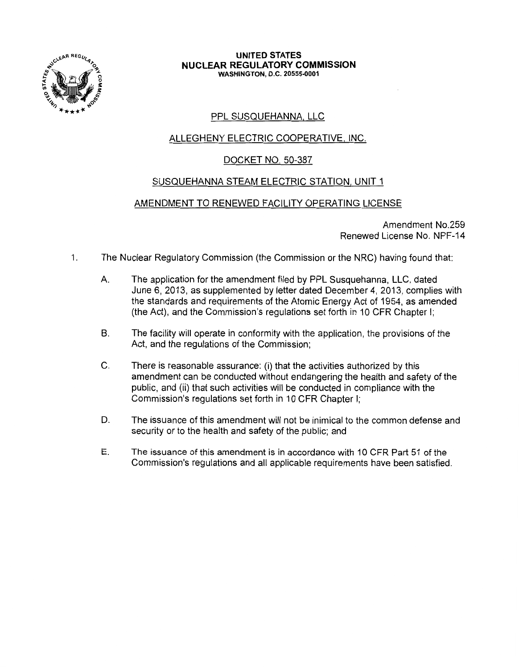

#### **UNITED STATES NUCLEAR REGULATORY COMMISSION**  WASHINGTON, D.C. 20555-0001

# PPL SUSQUEHANNA, LLC

# ALLEGHENY ELECTRIC COOPERATIVE, INC.

# DOCKET NO. 50-387

## SUSQUEHANNA STEAM ELECTRIC STATION, UNIT 1

# AMENDMENT TO RENEWED FACILITY OPERATING LICENSE

Amendment No.259 Renewed License No. NPF-14

- 1. The Nuclear Regulatory Commission (the Commission or the NRC) having found that:
	- A. The application for the amendment filed by PPL Susquehanna, LLC, dated June 6, 2013, as supplemented by letter dated December 4, 2013, complies with the standards and requirements of the Atomic Energy Act of 1954, as amended (the Act), and the Commission's regulations set forth in 10 CFR Chapter I;
	- B. The facility will operate in conformity with the application, the provisions of the Act, and the regulations of the Commission;
	- C. There is reasonable assurance: (i) that the activities authorized by this amendment can be conducted without endangering the health and safety of the public, and (ii) that such activities will be conducted in compliance with the Commission's regulations set forth in 10 CFR Chapter I;
	- D. The issuance of this amendment will not be inimical to the common defense and security or to the health and safety of the public; and
	- E. The issuance of this amendment is in accordance with 10 CFR Part 51 of the Commission's regulations and all applicable requirements have been satisfied.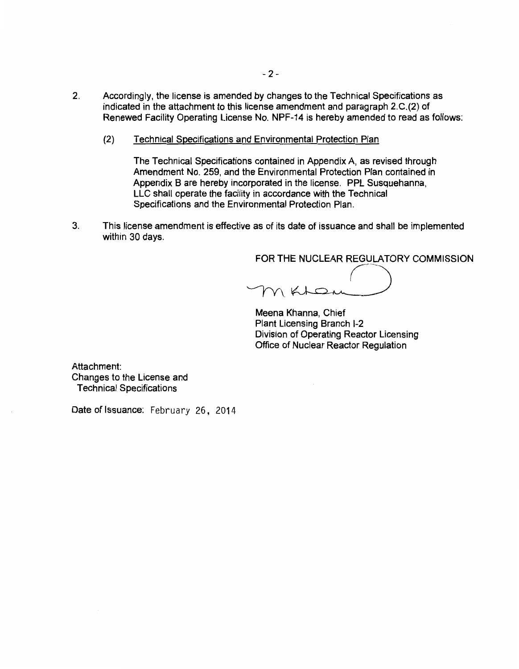- 2. Accordingly, the license is amended by changes to the Technical Specifications as indicated in the attachment to this license amendment and paragraph 2.C.(2) of Renewed Facility Operating License No. NPF-14 is hereby amended to read as follows:
	- (2) Technical Specifications and Environmental Protection Plan

The Technical Specifications contained in Appendix A, as revised through Amendment No. 259, and the Environmental Protection Plan contained in Appendix 8 are hereby incorporated in the license. PPL Susquehanna, LLC shall operate the facility in accordance with the Technical Specifications and the Environmental Protection Plan.

3. This license amendment is effective as of its date of issuance and shall be implemented within 30 days.

FOR THE NUCLEAR REGULATORY COMMISSION

 $\sqrt{2}$ MKLOM

Meena Khanna, Chief Plant Licensing Branch 1-2 Division of Operating Reactor Licensing Office of Nuclear Reactor Regulation

Attachment: Changes to the License and Technical Specifications

Date of Issuance: February 26, 2014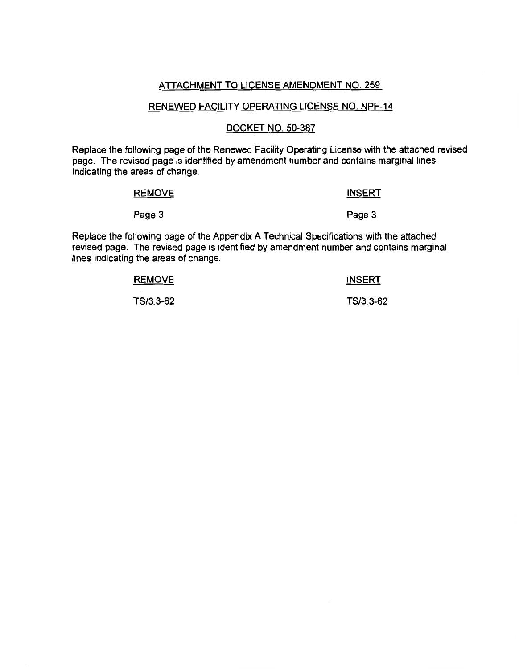### ATTACHMENT TO LICENSE AMENDMENT NO. 259

#### RENEWED FACILITY OPERATING LICENSE NO. NPF-14

#### DOCKET NO. 50-387

Replace the following page of the Renewed Facility Operating License with the attached revised page. The revised page is identified by amendment number and contains marginal lines indicating the areas of change.

| <b>REMOVE</b> | <b>INSERT</b> |
|---------------|---------------|
| Page 3        | Page 3        |

Replace the following page of the Appendix A Technical Specifications with the attached revised page. The revised page is identified by amendment number and contains marginal lines indicating the areas of change.

| <b>REMOVE</b> | <b>INSERT</b> |
|---------------|---------------|
| TS/3.3-62     | TS/3.3-62     |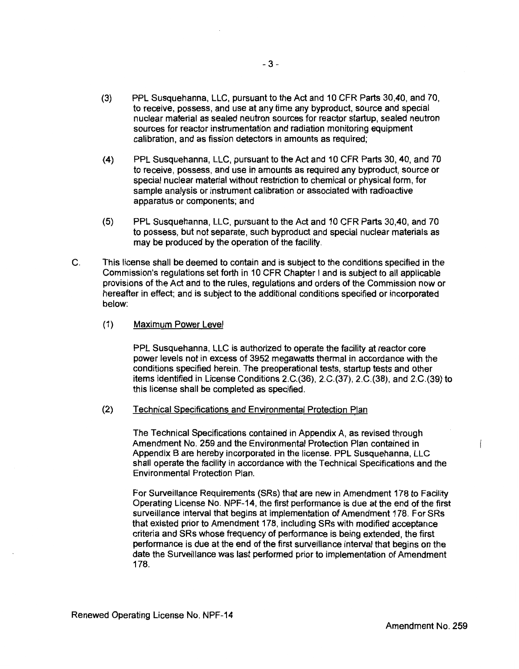- (3) PPL Susquehanna, LLC, pursuant to the Act and 10 CFR Parts 30,40, and 70, to receive, possess, and use at any time any byproduct, source and special nuclear material as sealed neutron sources for reactor startup, sealed neutron sources for reactor instrumentation and radiation monitoring equipment calibration, and as fission detectors in amounts as required;
- (4) PPL Susquehanna, LLC, pursuant to the Act and 10 CFR Parts 30, 40, and 70 to receive, possess, and use in amounts as required any byproduct, source or special nuclear material without restriction to chemical or physical form, for sample analysis or instrument calibration or associated with radioactive apparatus or components; and
- (5) PPL Susquehanna, LLC, pursuant to the Act and 10 CFR Parts 30,40, and 70 to possess, but not separate, such byproduct and special nuclear materials as may be produced by the operation of the facility.
- C. This license shall be deemed to contain and is subject to the conditions specified in the Commission's regulations set forth in 10 CFR Chapter I and is subject to all applicable provisions of the Act and to the rules, regulations and orders of the Commission now or hereafter in effect; and is subject to the additional conditions specified or incorporated below:
	- (1) Maximum Power Level

PPL Susquehanna, LLC is authorized to operate the facility at reactor core power levels not in excess of 3952 megawatts thermal in accordance with the conditions specified herein. The preoperational tests, startup tests and other items identified in License Conditions 2.C.(36), 2.C.(37), 2.C.(38), and 2.C.(39) to this license shall be completed as specified.

(2) Technical Specifications and Environmental Protection Plan

The Technical Specifications contained in Appendix A, as revised through Amendment No. 259 and the Environmental Protection Plan contained in Appendix B are hereby incorporated in the license. PPL Susquehanna, LLC shall operate the facility in accordance with the Technical Specifications and the Environmental Protection Plan.

For Surveillance Requirements (SRs) that are new in Amendment 178 to Facility Operating License No. NPF-14, the first performance is due at the end of the first surveillance interval that begins at implementation of Amendment 178. For SRs that existed prior to Amendment 178, including SRs with modified acceptance criteria and SRs whose frequency of performance is being extended, the first performance is due at the end of the first surveillance interval that begins on the date the Surveillance was last performed prior to implementation of Amendment 178.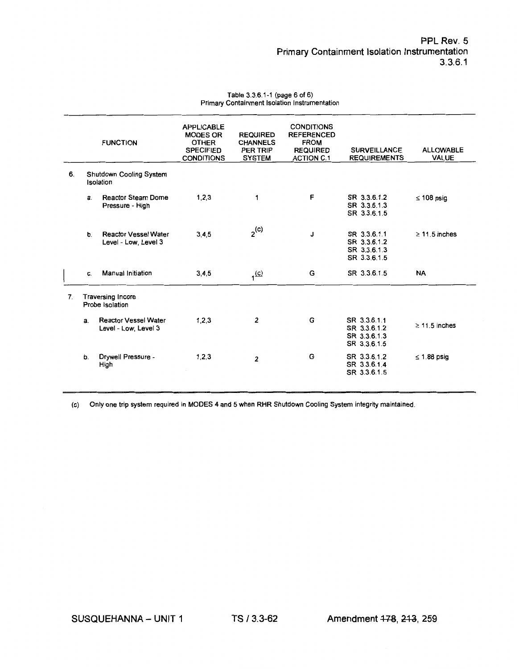#### Table 3.3.6.1-1 (page 6 of 6) Primary Containment Isolation Instrumentation

|                |    | <b>FUNCTION</b>                                     | <b>APPLICABLE</b><br><b>MODES OR</b><br><b>OTHER</b><br><b>SPECIFIED</b><br><b>CONDITIONS</b> | <b>REQUIRED</b><br><b>CHANNELS</b><br>PER TRIP<br><b>SYSTEM</b> | <b>CONDITIONS</b><br><b>REFERENCED</b><br><b>FROM</b><br><b>REQUIRED</b><br><b>ACTION C.1</b> | <b>SURVEILLANCE</b><br><b>REQUIREMENTS</b>                   | <b>ALLOWABLE</b><br><b>VALUE</b> |
|----------------|----|-----------------------------------------------------|-----------------------------------------------------------------------------------------------|-----------------------------------------------------------------|-----------------------------------------------------------------------------------------------|--------------------------------------------------------------|----------------------------------|
| 6.             |    | <b>Shutdown Cooling System</b><br>Isolation         |                                                                                               |                                                                 |                                                                                               |                                                              |                                  |
|                | a. | <b>Reactor Steam Dome</b><br>Pressure - High        | 1,2,3                                                                                         | 1                                                               | F                                                                                             | SR 3.3.6.1.2<br>SR 3.3.6.1.3<br>SR 3.3.6.1.5                 | $\leq 108$ psig                  |
|                | b. | <b>Reactor Vessel Water</b><br>Level - Low. Level 3 | 3, 4, 5                                                                                       | $2^{(c)}$                                                       | J                                                                                             | SR 3.3.6.1.1<br>SR 3.3.6.1.2<br>SR 3.3.6.1.3<br>SR 3.3.6.1.5 | $\geq$ 11.5 inches               |
|                | C. | <b>Manual Initiation</b>                            | 3, 4, 5                                                                                       | 1 <sup>(c)</sup>                                                | G                                                                                             | SR 3.3.6.1.5                                                 | <b>NA</b>                        |
| 7 <sub>1</sub> |    | <b>Traversing Incore</b><br>Probe Isolation         |                                                                                               |                                                                 |                                                                                               |                                                              |                                  |
|                | a. | <b>Reactor Vessel Water</b><br>Level - Low, Level 3 | 1, 2, 3                                                                                       | 2                                                               | G                                                                                             | SR 3.3.6.1.1<br>SR 3.3.6.1.2<br>SR 3.3.6.1.3<br>SR 3.3.6.1.5 | $\geq 11.5$ inches               |
|                | b. | Drywell Pressure -<br>High                          | 1,2,3                                                                                         | $\overline{2}$                                                  | G                                                                                             | SR 3.3.6.1.2<br>SR 3.3.6.1.4<br>SR 3.3.6.1.5                 | $\leq$ 1.88 psig                 |

(c) Only one trip system required in MODES 4 and 5 when RHR Shutdown Cooling System integrity maintained.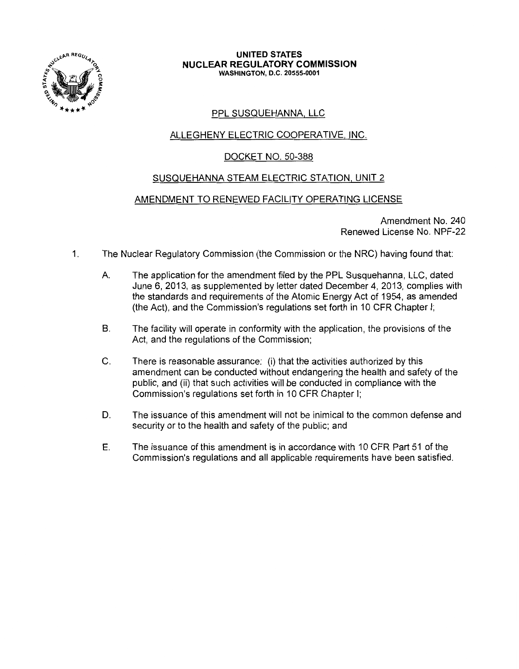

#### **UNITED STATES NUCLEAR REGULATORY COMMISSION**  WASHINGTON, D.C. 20555-0001

# PPL SUSQUEHANNA, LLC

# ALLEGHENY ELECTRIC COOPERATIVE, INC.

# DOCKET NO. 50-388

# SUSQUEHANNA STEAM ELECTRIC STATION, UNIT 2

## AMENDMENT TO RENEWED FACILITY OPERATING LICENSE

Amendment No. 240 Renewed License No. NPF-22

- 1. The Nuclear Regulatory Commission (the Commission or the NRC) having found that:
	- A. The application for the amendment filed by the PPL Susquehanna, LLC, dated June 6, 2013, as supplemented by letter dated December 4, 2013, complies with the standards and requirements of the Atomic Energy Act of 1954, as amended (the Act), and the Commission's regulations set forth in 10 CFR Chapter I;
	- B. The facility will operate in conformity with the application, the provisions of the Act, and the regulations of the Commission;
	- C. There is reasonable assurance: (i) that the activities authorized by this amendment can be conducted without endangering the health and safety of the public, and (ii) that such activities will be conducted in compliance with the Commission's regulations set forth in 10 CFR Chapter I;
	- D. The issuance of this amendment will not be inimical to the common defense and security or to the health and safety of the public; and
	- E. The issuance of this amendment is in accordance with 10 CFR Part 51 of the Commission's regulations and all applicable requirements have been satisfied.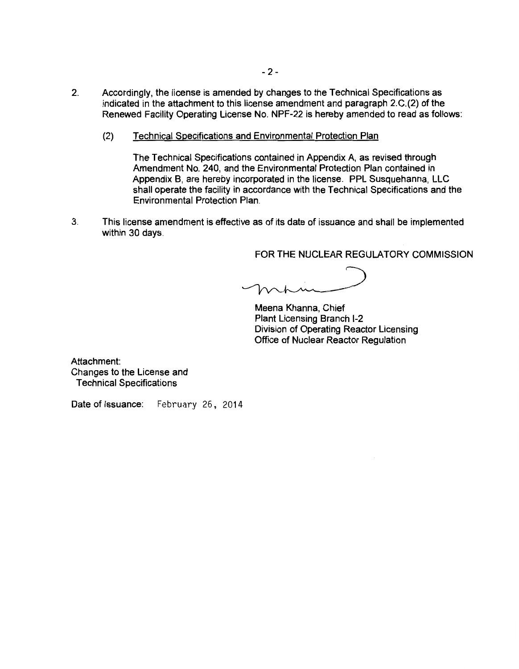- 2. Accordingly, the license is amended by changes to the Technical Specifications as indicated in the attachment to this license amendment and paragraph 2.C.(2) of the Renewed Facility Operating License No. NPF-22 is hereby amended to read as follows:
	- (2) Technical Specifications and Environmental Protection Plan

The Technical Specifications contained in Appendix A, as revised through Amendment No. 240, and the Environmental Protection Plan contained in Appendix 8, are hereby incorporated in the license. PPL Susquehanna, LLC shall operate the facility in accordance with the Technical Specifications and the Environmental Protection Plan.

3. This license amendment is effective as of its date of issuance and shall be implemented within 30 days.

FOR THE NUCLEAR REGULATORY COMMISSION

Meena Khanna, Chief Plant Licensing Branch 1-2 Division of Operating Reactor Licensing Office of Nuclear Reactor Regulation

Attachment: Changes to the License and Technical Specifications

Date of Issuance: February 26, 2014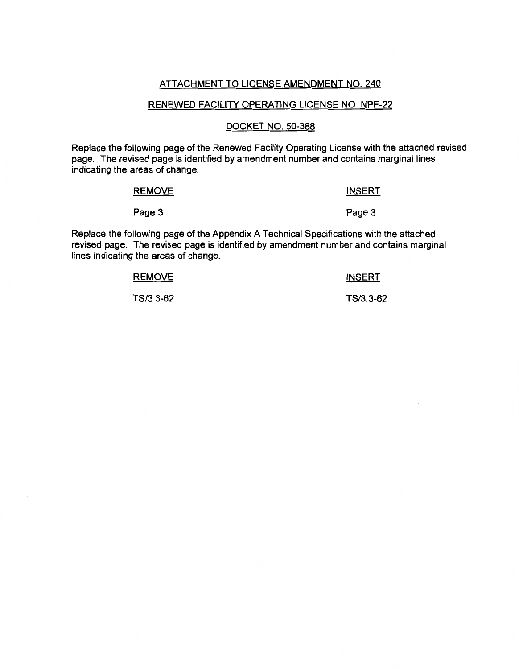### ATTACHMENT TO LICENSE AMENDMENT NO. 240

#### RENEWED FACILITY OPERATING LICENSE NO. NPF-22

#### DOCKET NO. 50-388

Replace the following page of the Renewed Facility Operating License with the attached revised page. The revised page is identified by amendment number and contains marginal lines indicating the areas of change.

| <b>REMOVE</b> | <b>INSERT</b> |
|---------------|---------------|
| Page 3        | Page 3        |

Replace the following page of the Appendix A Technical Specifications with the attached revised page. The revised page is identified by amendment number and contains marginal lines indicating the areas of change.

| <b>REMOVE</b> | <b>INSERT</b> |
|---------------|---------------|
| TS/3.3-62     | TS/3.3-62     |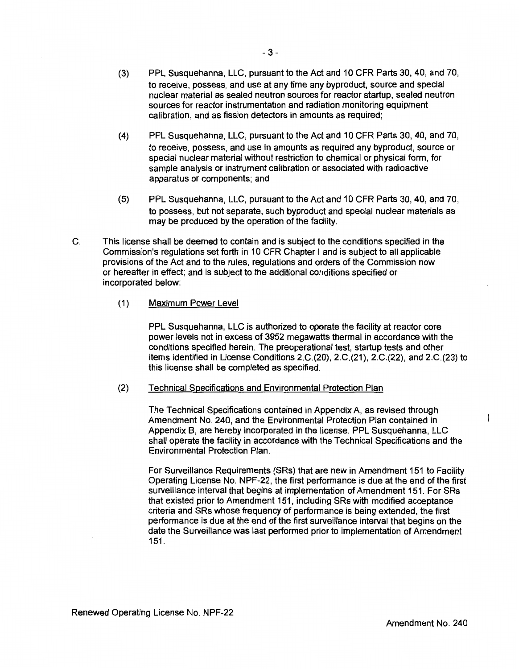- (3) PPL Susquehanna, LLC, pursuant to the Act and 10 CFR Parts 30, 40, and 70, to receive, possess, and use at any time any byproduct, source and special nuclear material as sealed neutron sources for reactor startup, sealed neutron sources for reactor instrumentation and radiation monitoring equipment calibration, and as fission detectors in amounts as required;
- (4) PPL Susquehanna, LLC, pursuant to the Act and 10 CFR Parts 30, 40, and 70, to receive, possess, and use in amounts as required any byproduct, source or special nuclear material without restriction to chemical or physical form, for sample analysis or instrument calibration or associated with radioactive apparatus or components; and
- (5) PPL Susquehanna, LLC, pursuant to the Act and 10 CFR Parts 30, 40, and 70, to possess, but not separate, such byproduct and special nuclear materials as may be produced by the operation of the facility.
- C. This license shall be deemed to contain and is subject to the conditions specified in the Commission's regulations set forth in 10 CFR Chapter I and is subject to all applicable provisions of the Act and to the rules, regulations and orders of the Commission now or hereafter in effect; and is subject to the additional conditions specified or incorporated below:
	- (1) Maximum Power Level

PPL Susquehanna, LLC is authorized to operate the facility at reactor core power levels not in excess of 3952 megawatts thermal in accordance with the conditions specified herein. The preoperational test, startup tests and other items identified in License Conditions 2.C.(20), 2.C.(21), 2.C.(22), and 2.C.(23) to this license shall be completed as specified.

(2) Technical Specifications and Environmental Protection Plan

The Technical Specifications contained in Appendix A, as revised through Amendment No. 240, and the Environmental Protection Plan contained in Appendix B, are hereby incorporated in the license. PPL Susquehanna, LLC shall operate the facility in accordance with the Technical Specifications and the Environmental Protection Plan.

For Surveillance Requirements (SRs) that are new in Amendment 151 to Facility Operating License No. NPF-22, the first performance is due at the end of the first surveillance interval that begins at implementation of Amendment 151. For SRs that existed prior to Amendment 151, including SRs with modified acceptance criteria and SRs whose frequency of performance is being extended, the first performance is due at the end of the first surveillance interval that begins on the date the Surveillance was last performed prior to implementation of Amendment 151.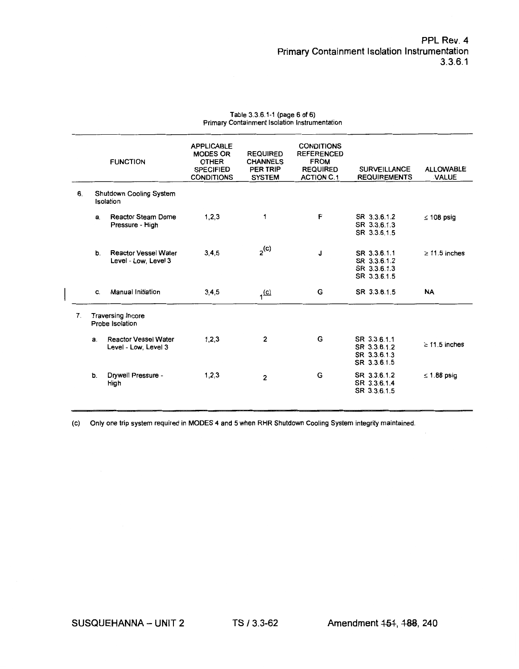|                |    | <b>FUNCTION</b>                                     | <b>APPLICABLE</b><br><b>MODES OR</b><br><b>OTHER</b><br><b>SPECIFIED</b><br><b>CONDITIONS</b> | <b>REQUIRED</b><br><b>CHANNELS</b><br>PER TRIP<br><b>SYSTEM</b> | <b>CONDITIONS</b><br><b>REFERENCED</b><br><b>FROM</b><br><b>REQUIRED</b><br><b>ACTION C.1</b> | <b>SURVEILLANCE</b><br><b>REQUIREMENTS</b>                   | <b>ALLOWABLE</b><br><b>VALUE</b> |
|----------------|----|-----------------------------------------------------|-----------------------------------------------------------------------------------------------|-----------------------------------------------------------------|-----------------------------------------------------------------------------------------------|--------------------------------------------------------------|----------------------------------|
| 6.             |    | Shutdown Cooling System<br>Isolation                |                                                                                               |                                                                 |                                                                                               |                                                              |                                  |
|                | a. | <b>Reactor Steam Dome</b><br>Pressure - High        | 1, 2, 3                                                                                       | 1                                                               | F                                                                                             | SR 3.3.6.1.2<br>SR 3.3.6.1.3<br>SR 3.3.6.1.5                 | $\leq 108$ psig                  |
|                | b. | <b>Reactor Vessel Water</b><br>Level - Low, Level 3 | 3, 4, 5                                                                                       | $2^{(c)}$                                                       | J                                                                                             | SR 3.3.6.1.1<br>SR 3.3.6.1.2<br>SR 3.3.6.1.3<br>SR 3.3.6.1.5 | $\geq$ 11.5 inches               |
|                | C. | <b>Manual Initiation</b>                            | 3,4,5                                                                                         | $1$ <sup>(c)</sup>                                              | G                                                                                             | SR 3.3.6.1.5                                                 | <b>NA</b>                        |
| $\mathbf{7}$ . |    | <b>Traversing Incore</b><br>Probe Isolation         |                                                                                               |                                                                 |                                                                                               |                                                              |                                  |
|                | a. | <b>Reactor Vessel Water</b><br>Level - Low, Level 3 | 1, 2, 3                                                                                       | $\overline{2}$                                                  | G                                                                                             | SR 3.3.6.1.1<br>SR 3.3.6.1.2<br>SR 3.3.6.1.3<br>SR 3.3.6.1.5 | $\geq$ 11.5 inches               |
|                | b. | Drywell Pressure -<br>High                          | 1, 2, 3                                                                                       | $\overline{2}$                                                  | G                                                                                             | SR 3.3.6.1.2<br>SR 3.3.6.1.4<br>SR 3.3.6.1.5                 | $\leq$ 1.88 psig                 |

#### Table 3.3.6.1-1 (page 6 of 6) Primary Containment Isolation Instrumentation

(c) Only one trip system required in MODES 4 and 5 when RHR Shutdown Cooling System integrity maintained.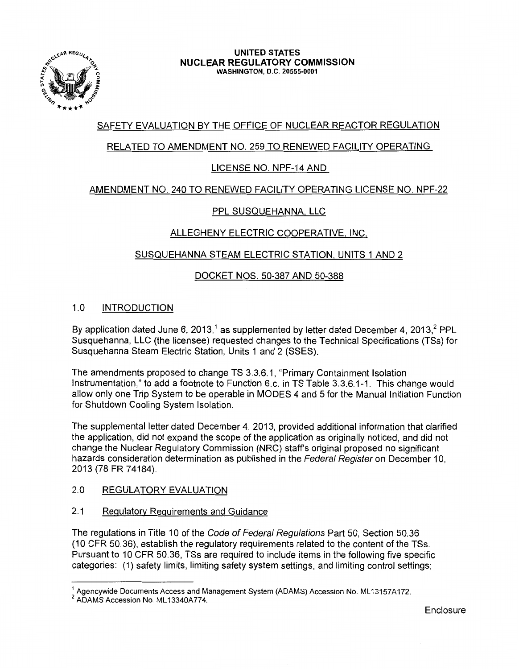

# SAFETY EVALUATION BY THE OFFICE OF NUCLEAR REACTOR REGULATION

# RELATED TO AMENDMENT NO. 259 TO RENEWED FACILITY OPERATING

# LICENSE NO. NPF-14 AND

# AMENDMENT NO. 240 TO RENEWED FACILITY OPERATING LICENSE NO. NPF-22

# PPL SUSQUEHANNA, LLC

# ALLEGHENY ELECTRIC COOPERATIVE, INC.

# SUSQUEHANNA STEAM ELECTRIC STATION, UNITS 1 AND 2

# DOCKET NOS. 50-387 AND 50-388

# 1.0 INTRODUCTION

By application dated June 6, 2013,<sup>1</sup> as supplemented by letter dated December 4, 2013,<sup>2</sup> PPL Susquehanna, LLC (the licensee) requested changes to the Technical Specifications (TSs) for Susquehanna Steam Electric Station, Units 1 and 2 (SSES).

The amendments proposed to change TS 3.3.6.1, "Primary Containment Isolation Instrumentation," to add a footnote to Function 6.c. in TS Table 3.3.6.1-1. This change would allow only one Trip System to be operable in MODES 4 and 5 for the Manual Initiation Function for Shutdown Cooling System Isolation.

The supplemental letter dated December 4, 2013, provided additional information that clarified the application, did not expand the scope of the application as originally noticed, and did not change the Nuclear Regulatory Commission (NRC) staff's original proposed no significant hazards consideration determination as published in the Federal Register on December 10, 2013 (78 FR 74184).

## 2.0 REGULATORY EVALUATION

## 2.1 Regulatory Requirements and Guidance

The regulations in Title 10 of the Code of Federal Regulations Part 50, Section 50.36 (10 CFR 50.36), establish the regulatory requirements related to the content of the TSs. Pursuant to 10 CFR 50.36, TSs are required to include items in the following five specific categories: (1) safety limits, limiting safety system settings, and limiting control settings;

**Enclosure** 

 $^1$  Agencywide Documents Access and Management System (ADAMS) Accession No. ML13157A172.<br><sup>2</sup> ADAMS Accession No. ML13340A774.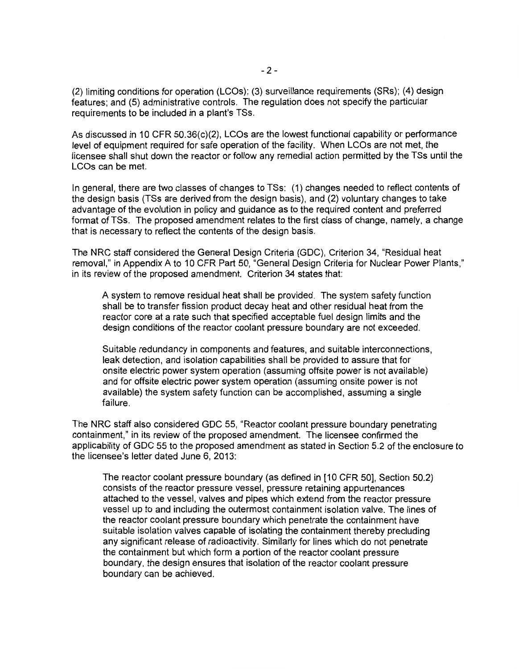(2) limiting conditions for operation (LCOs); (3) surveillance requirements (SRs); (4) design features; and (5) administrative controls. The regulation does not specify the particular requirements to be included in a plant's TSs.

As discussed in 10 CFR 50.36(c)(2), LCOs are the lowest functional capability or performance level of equipment required for safe operation of the facility. When LCOs are not met, the licensee shall shut down the reactor or follow any remedial action permitted by the TSs until the LCOs can be met.

In general, there are two classes of changes to TSs: (1) changes needed to reflect contents of the design basis (TSs are derived from the design basis), and (2) voluntary changes to take advantage of the evolution in policy and guidance as to the required content and preferred format of TSs. The proposed amendment relates to the first class of change, namely, a change that is necessary to reflect the contents of the design basis.

The NRC staff considered the General Design Criteria (GDC), Criterion 34, "Residual heat removal," in Appendix A to 10 CFR Part 50, "General Design Criteria for Nuclear Power Plants," in its review of the proposed amendment. Criterion 34 states that:

A system to remove residual heat shall be provided. The system safety function shall be to transfer fission product decay heat and other residual heat from the reactor core at a rate such that specified acceptable fuel design limits and the design conditions of the reactor coolant pressure boundary are not exceeded.

Suitable redundancy in components and features, and suitable interconnections, leak detection, and isolation capabilities shall be provided to assure that for onsite electric power system operation (assuming offsite power is not available) and for offsite electric power system operation (assuming onsite power is not available) the system safety function can be accomplished, assuming a single failure.

The NRC staff also considered GDC 55, "Reactor coolant pressure boundary penetrating containment," in its review of the proposed amendment. The licensee confirmed the applicability of GDC 55 to the proposed amendment as stated in Section 5.2 of the enclosure to the licensee's letter dated June 6, 2013:

The reactor coolant pressure boundary (as defined in [10 CFR 50], Section 50.2) consists of the reactor pressure vessel, pressure retaining appurtenances attached to the vessel, valves and pipes which extend from the reactor pressure vessel up to and including the outermost containment isolation valve. The lines of the reactor coolant pressure boundary which penetrate the containment have suitable isolation valves capable of isolating the containment thereby precluding any significant release of radioactivity. Similarly for lines which do not penetrate the containment but which form a portion of the reactor coolant pressure boundary, the design ensures that isolation of the reactor coolant pressure boundary can be achieved.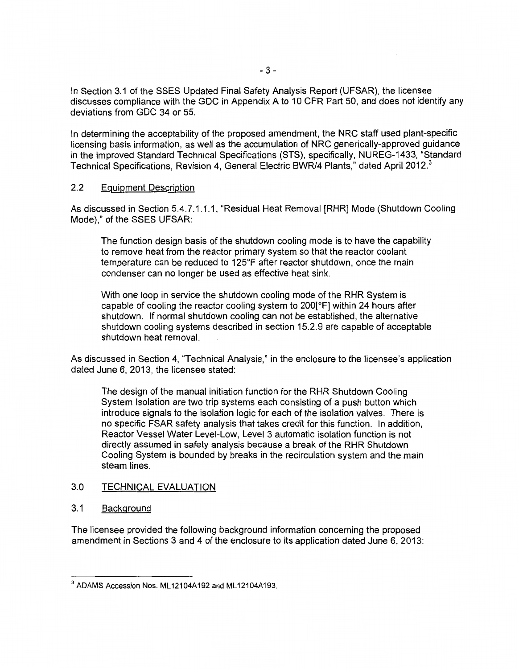In Section 3.1 of the SSES Updated Final Safety Analysis Report (UFSAR), the licensee discusses compliance with the GDC in Appendix A to 10 CFR Part 50, and does not identify any deviations from GDC 34 or 55.

In determining the acceptability of the proposed amendment, the NRC staff used plant-specific licensing basis information, as well as the accumulation of NRC generically-approved guidance in the improved Standard Technical Specifications (STS), specifically, NUREG-1433, "Standard Technical Specifications, Revision 4, General Electric BWR/4 Plants," dated April 2012.<sup>3</sup>

### 2.2 Equipment Description

As discussed in Section 5.4.7.1.1.1, "Residual Heat Removal [RHR] Mode (Shutdown Cooling Mode)," of the SSES UFSAR:

The function design basis of the shutdown cooling mode is to have the capability to remove heat from the reactor primary system so that the reactor coolant temperature can be reduced to 125°F after reactor shutdown, once the main condenser can no longer be used as effective heat sink.

With one loop in service the shutdown cooling mode of the RHR System is capable of cooling the reactor cooling system to 200[°F] within 24 hours after shutdown. If normal shutdown cooling can not be established, the alternative shutdown cooling systems described in section 15.2.9 are capable of acceptable shutdown heat removal.

As discussed in Section 4, "Technical Analysis," in the enclosure to the licensee's application dated June 6, 2013, the licensee stated:

The design of the manual initiation function for the RHR Shutdown Cooling System Isolation are two trip systems each consisting of a push button which introduce signals to the isolation logic for each of the isolation valves. There is no specific FSAR safety analysis that takes credit for this function. In addition, Reactor Vessel Water Level-Low, Level 3 automatic isolation function is not directly assumed in safety analysis because a break of the RHR Shutdown Cooling System is bounded by breaks in the recirculation system and the main steam lines.

#### 3.0 TECHNICAL EVALUATION

3.1 Background

The licensee provided the following background information concerning the proposed amendment in Sections 3 and 4 of the enclosure to its application dated June 6, 2013:

<sup>&</sup>lt;sup>3</sup> ADAMS Accession Nos. ML12104A192 and ML12104A193.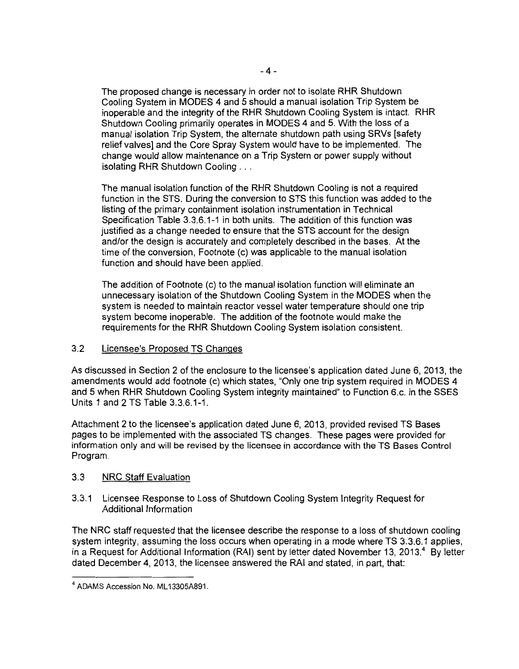The proposed change is necessary in order not to isolate RHR Shutdown Cooling System in MODES 4 and 5 should a manual isolation Trip System be inoperable and the integrity of the RHR Shutdown Cooling System is intact. RHR Shutdown Cooling primarily operates in MODES 4 and 5. With the loss of a manual isolation Trip System, the alternate shutdown path using SRVs [safety relief valves] and the Core Spray System would have to be implemented. The change would allow maintenance on a Trip System or power supply without isolating RHR Shutdown Cooling ...

The manual isolation function of the RHR Shutdown Cooling is not a required function in the STS. During the conversion to STS this function was added to the listing of the primary containment isolation instrumentation in Technical Specification Table 3.3.6.1-1 in both units. The addition of this function was justified as a change needed to ensure that the STS account for the design and/or the design is accurately and completely described in the bases. At the time of the conversion, Footnote (c) was applicable to the manual isolation function and should have been applied.

The addition of Footnote (c) to the manual isolation function will eliminate an unnecessary isolation of the Shutdown Cooling System in the MODES when the system is needed to maintain reactor vessel water temperature should one trip system become inoperable. The addition of the footnote would make the requirements for the RHR Shutdown Cooling System isolation consistent.

## 3.2 Licensee's Proposed TS Changes

As discussed in Section 2 of the enclosure to the licensee's application dated June 6, 2013, the amendments would add footnote (c) which states, "Only one trip system required in MODES 4 and 5 when RHR Shutdown Cooling System integrity maintained" to Function 6.c. in the SSES Units 1 and 2 TS Table 3.3.6.1-1.

Attachment 2 to the licensee's application dated June 6, 2013, provided revised TS Bases pages to be implemented with the associated TS changes. These pages were provided for information only and will be revised by the licensee in accordance with the TS Bases Control Program.

## 3.3 NRC Staff Evaluation

### 3.3.1 Licensee Response to Loss of Shutdown Cooling System Integrity Request for Additional Information

The NRC staff requested that the licensee describe the response to a loss of shutdown cooling system integrity, assuming the loss occurs when operating in a mode where TS 3.3.6.1 applies, in a Request for Additional Information (RAI) sent by letter dated November 13, 2013.<sup>4</sup> By letter dated December 4, 2013, the licensee answered the RAI and stated, in part, that:

<sup>&</sup>lt;sup>4</sup> ADAMS Accession No. ML13305A891.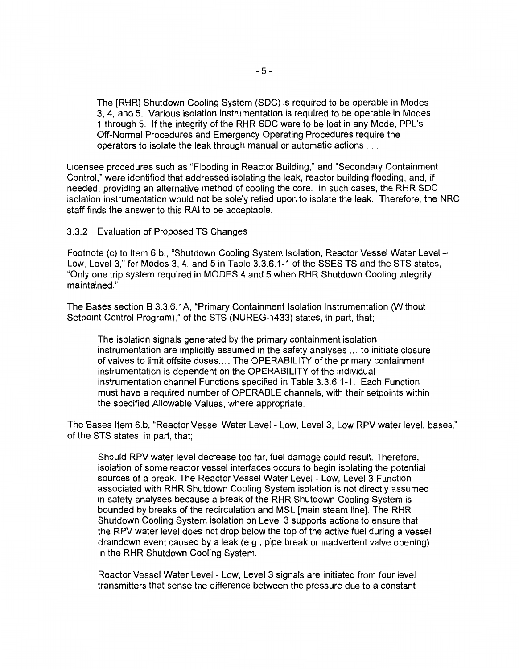The [RHR] Shutdown Cooling System (SOC) is required to be operable in Modes 3, 4, and 5. Various isolation instrumentation is required to be operable in Modes 1 through 5. If the integrity of the RHR SOC were to be lost in any Mode, PPL's Off-Normal Procedures and Emergency Operating Procedures require the operators to isolate the leak through manual or automatic actions ...

Licensee procedures such as "Flooding in Reactor Building," and "Secondary Containment Control," were identified that addressed isolating the leak, reactor building flooding, and, if needed, providing an alternative method of cooling the core. In such cases, the RHR SOC isolation instrumentation would not be solely relied upon to isolate the leak. Therefore, the NRC staff finds the answer to this RAI to be acceptable.

3.3.2 Evaluation of Proposed TS Changes

Footnote (c) to Item 6.b., "Shutdown Cooling System Isolation, Reactor Vessel Water Level -Low, Level 3," for Modes 3, 4, and 5 in Table 3.3.6.1-1 of the SSES TS and the STS states, "Only one trip system required in MODES 4 and 5 when RHR Shutdown Cooling integrity maintained."

The Bases section B 3.3.6.1A, "Primary Containment Isolation Instrumentation (Without Setpoint Control Program)," of the STS (NUREG-1433) states, in part, that;

The isolation signals generated by the primary containment isolation instrumentation are implicitly assumed in the safety analyses ... to initiate closure of valves to limit offsite doses .... The OPERABILITY of the primary containment instrumentation is dependent on the OPERABILITY of the individual instrumentation channel Functions specified in Table 3.3.6.1-1. Each Function must have a required number of OPERABLE channels, with their setpoints within the specified Allowable Values, where appropriate.

The Bases Item 6.b, "Reactor Vessel Water Level - Low, Level 3, Low RPV water level, bases," of the STS states, in part, that;

Should RPV water level decrease too far, fuel damage could result. Therefore, isolation of some reactor vessel interfaces occurs to begin isolating the potential sources of a break. The Reactor Vessel Water Level - Low, Level 3 Function associated with RHR Shutdown Cooling System isolation is not directly assumed in safety analyses because a break of the RHR Shutdown Cooling System is bounded by breaks of the recirculation and MSL [main steam line]. The RHR Shutdown Cooling System isolation on Level 3 supports actions to ensure that the RPV water level does not drop below the top of the active fuel during a vessel draindown event caused by a leak (e.g., pipe break or inadvertent valve opening) in the RHR Shutdown Cooling System.

Reactor Vessel Water Level - Low, Level 3 signals are initiated from four level transmitters that sense the difference between the pressure due to a constant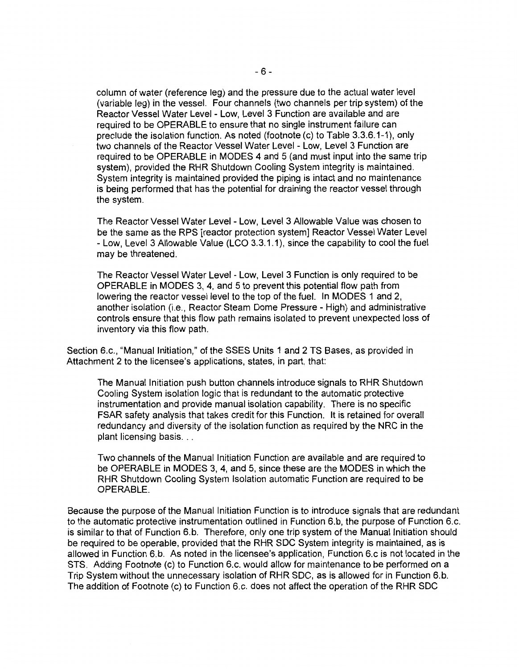column of water (reference leg) and the pressure due to the actual water level (variable leg) in the vessel. Four channels (two channels per trip system) of the Reactor Vessel Water Level - Low, Level 3 Function are available and are required to be OPERABLE to ensure that no single instrument failure can preclude the isolation function. As noted (footnote (c) to Table 3.3.6.1-1), only two channels of the Reactor Vessel Water Level - Low, Level 3 Function are required to be OPERABLE in MODES 4 and 5 (and must input into the same trip system), provided the RHR Shutdown Cooling System integrity is maintained. System integrity is maintained provided the piping is intact and no maintenance is being performed that has the potential for draining the reactor vessel through the system.

The Reactor Vessel Water Level- Low, Level 3 Allowable Value was chosen to be the same as the RPS [reactor protection system] Reactor Vessel Water Level -Low, Level 3 Allowable Value (LCO 3.3.1.1), since the capability to cool the fuel may be threatened.

The Reactor Vessel Water Level - Low, Level 3 Function is only required to be OPERABLE in MODES 3, 4, and 5 to prevent this potential flow path from lowering the reactor vessel level to the top of the fuel. In MODES 1 and 2, another isolation (i.e., Reactor Steam Dome Pressure- High) and administrative controls ensure that this flow path remains isolated to prevent unexpected loss of inventory via this flow path.

Section 6.c., "Manual Initiation," of the SSES Units 1 and 2 TS Bases, as provided in Attachment 2 to the licensee's applications, states, in part, that:

The Manual Initiation push button channels introduce signals to RHR Shutdown Cooling System isolation logic that is redundant to the automatic protective instrumentation and provide manual isolation capability. There is no specific FSAR safety analysis that takes credit for this Function. It is retained for overall redundancy and diversity of the isolation function as required by the NRC in the plant licensing basis...

Two channels of the Manual Initiation Function are available and are required to be OPERABLE in MODES 3, 4, and 5, since these are the MODES in which the RHR Shutdown Cooling System Isolation automatic Function are required to be OPERABLE.

Because the purpose of the Manual Initiation Function is to introduce signals that are redundant to the automatic protective instrumentation outlined in Function 6.b, the purpose of Function 6.c. is similar to that of Function 6.b. Therefore, only one trip system of the Manual Initiation should be required to be operable, provided that the RHR SOC System integrity is maintained, as is allowed in Function 6.b. As noted in the licensee's application, Function 6.c is not located in the STS. Adding Footnote (c) to Function 6.c. would allow for maintenance to be performed on a Trip System without the unnecessary isolation of RHR SOC, as is allowed for in Function 6.b. The addition of Footnote (c) to Function 6.c. does not affect the operation of the RHR SOC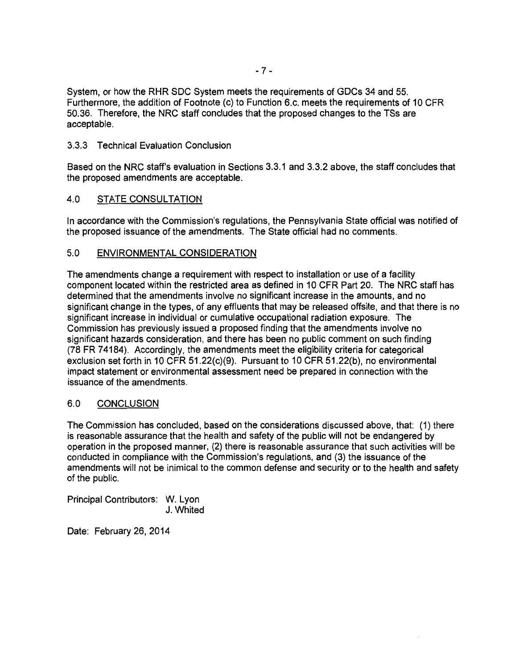System, or how the RHR SDC System meets the requirements of GDCs 34 and 55. Furthermore, the addition of Footnote (c) to Function 6.c. meets the requirements of 10 CFR 50.36. Therefore, the NRC staff concludes that the proposed changes to the TSs are acceptable.

## 3.3.3 Technical Evaluation Conclusion

Based on the NRC staff's evaluation in Sections 3.3.1 and 3.3.2 above, the staff concludes that the proposed amendments are acceptable.

# 4.0 STATE CONSULTATION

In accordance with the Commission's regulations, the Pennsylvania State official was notified of the proposed issuance of the amendments. The State official had no comments.

### 5.0 ENVIRONMENTAL CONSIDERATION

The amendments change a requirement with respect to installation or use of a facility component located within the restricted area as defined in 10 CFR Part 20. The NRC staff has determined that the amendments involve no significant increase in the amounts, and no significant change in the types, of any effluents that may be released offsite, and that there is no significant increase in individual or cumulative occupational radiation exposure. The Commission has previously issued a proposed finding that the amendments involve no significant hazards consideration, and there has been no public comment on such finding (78 FR 74184). Accordingly, the amendments meet the eligibility criteria for categorical exclusion set forth in 10 CFR 51.22(c)(9). Pursuant to 10 CFR 51.22(b}, no environmental impact statement or environmental assessment need be prepared in connection with the issuance of the amendments.

## 6.0 CONCLUSION

The Commission has concluded, based on the considerations discussed above, that: (1) there is reasonable assurance that the health and safety of the public will not be endangered by operation in the proposed manner, (2) there is reasonable assurance that such activities will be conducted in compliance with the Commission's regulations, and (3) the issuance of the amendments will not be inimical to the common defense and security or to the health and safety of the public.

Principal Contributors: W. Lyon J. Whited

Date: February 26, 2014